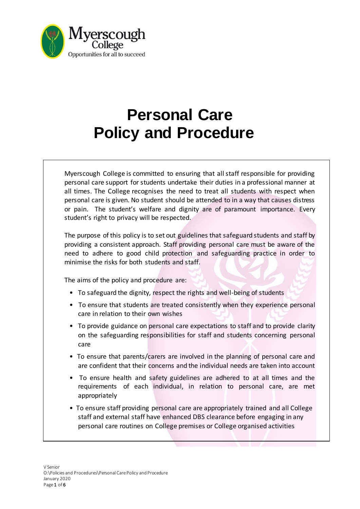

# **Personal Care Policy and Procedure**

Myerscough College is committed to ensuring that all staff responsible for providing personal care support for students undertake their duties in a professional manner at all times. The College recognises the need to treat all students with respect when personal care is given. No student should be attended to in a way that causes distress or pain. The student's welfare and dignity are of paramount importance. Every student's right to privacy will be respected.

The purpose of this policy is to set out guidelines that safeguard students and staff by providing a consistent approach. Staff providing personal care must be aware of the need to adhere to good child protection and safeguarding practice in order to minimise the risks for both students and staff.

The aims of the policy and procedure are:

- To safeguard the dignity, respect the rights and well-being of students
- To ensure that students are treated consistently when they experience personal care in relation to their own wishes
- To provide guidance on personal care expectations to staff and to provide clarity on the safeguarding responsibilities for staff and students concerning personal care
- To ensure that parents/carers are involved in the planning of personal care and are confident that their concerns and the individual needs are taken into account
- To ensure health and safety guidelines are adhered to at all times and the requirements of each individual, in relation to personal care, are met appropriately
- To ensure staff providing personal care are appropriately trained and all College staff and external staff have enhanced DBS clearance before engaging in any personal care routines on College premises or College organised activities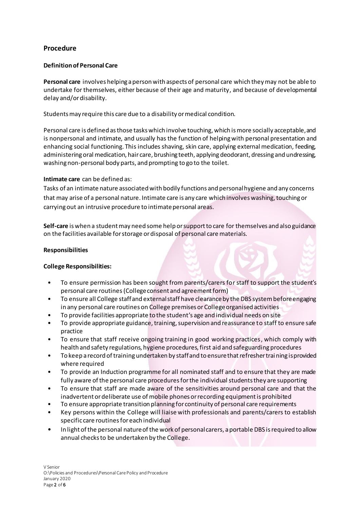# **Procedure**

# **Definition of Personal Care**

**Personal care** involves helping a person with aspects of personal care which they may not be able to undertake for themselves, either because of their age and maturity, and because of developmental delay and/or disability.

Students may require this care due to a disability or medical condition.

Personal care is defined as those tasks which involve touching, which is more socially acceptable, and is nonpersonal and intimate, and usually has the function of helping with personal presentation and enhancing social functioning. This includes shaving, skin care, applying external medication, feeding, administering oral medication, hair care, brushing teeth, applying deodorant, dressing and undressing, washing non-personal body parts, and prompting to go to the toilet.

# **Intimate care** can be defined as:

Tasks of an intimate nature associated with bodily functions and personal hygiene and any concerns that may arise of a personal nature. Intimate care is any care which involves washing, touching or carrying out an intrusive procedure to intimate personal areas.

**Self-care** is when a student may need some help or support to care for themselves and also guidance on the facilities available for storage or disposal of personal care materials.

## **Responsibilities**

## **College Responsibilities:**

- To ensure permission has been sought from parents/carers for staff to support the student's personal care routines(College consent and agreement form)
- To ensure all College staff and external staff have clearance by the DBS system before engaging in any personal care routines on College premises or College organised activities
- To provide facilities appropriate to the student's age and individual needs on site
- To provide appropriate guidance, training, supervision and reassurance to staff to ensure safe practice
- To ensure that staff receive ongoing training in good working practices, which comply with health and safety regulations, hygiene procedures, first aid and safeguarding procedures
- To keep a record of training undertaken by staff and to ensure that refresher training is provided where required
- To provide an Induction programme for all nominated staff and to ensure that they are made fully aware of the personal care procedures for the individual students they are supporting
- To ensure that staff are made aware of the sensitivities around personal care and that the inadvertent or deliberate use of mobile phones or recording equipment is prohibited
- To ensure appropriate transition planning for continuity of personal care requirements
- Key persons within the College will liaise with professionals and parents/carers to establish specific care routines for each individual
- In light of the personal nature of the work of personal carers, a portable DBS is required to allow annual checks to be undertaken by the College.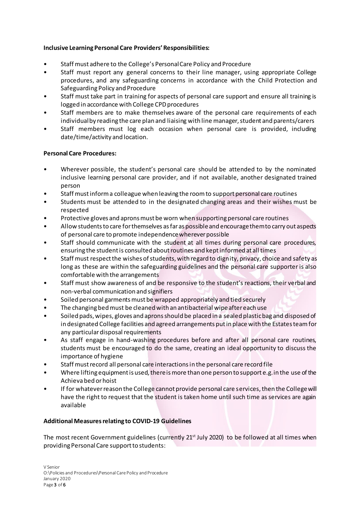# **Inclusive Learning Personal Care Providers' Responsibilities:**

- Staff must adhere to the College's Personal Care Policy and Procedure
- Staff must report any general concerns to their line manager, using appropriate College procedures, and any safeguarding concerns in accordance with the Child Protection and Safeguarding Policy and Procedure
- Staff must take part in training for aspects of personal care support and ensure all training is logged in accordance with College CPD procedures
- Staff members are to make themselves aware of the personal care requirements of each individual by reading the care plan and liaising with line manager, student and parents/carers
- Staff members must log each occasion when personal care is provided, including date/time/activity and location.

## **Personal Care Procedures:**

- Wherever possible, the student's personal care should be attended to by the nominated inclusive learning personal care provider, and if not available, another designated trained person
- Staff must inform a colleague when leaving the room to support personal care routines
- Students must be attended to in the designated changing areas and their wishes must be respected
- Protective gloves and aprons must be worn when supporting personal care routines
- Allow students to care for themselves as far as possible and encourage them to carry out aspects of personal care to promote independence wherever possible
- Staff should communicate with the student at all times during personal care procedures, ensuring the student is consulted about routines and kept informed at all times
- Staff must respect the wishes of students, with regard to dignity, privacy, choice and safety as long as these are within the safeguarding guidelines and the personal care supporter is also comfortable with the arrangements
- Staff must show awareness of and be responsive to the student's reactions, their verbal and non-verbal communication and signifiers
- Soiled personal garments must be wrapped appropriately and tied securely
- The changing bed must be cleaned with an antibacterial wipe after each use
- Soiled pads, wipes, gloves and aprons should be placed in a sealed plastic bag and disposed of in designated College facilities and agreed arrangements put in place with the Estates team for any particular disposal requirements
- As staff engage in hand-washing procedures before and after all personal care routines, students must be encouraged to do the same, creating an ideal opportunity to discuss the importance of hygiene
- Staff must record all personal care interactions in the personal care record file
- Where lifting equipment is used, there is more than one person to support e.g. in the use of the Achieva bed or hoist
- If for whatever reason the College cannot provide personal care services, then the College will have the right to request that the student is taken home until such time as services are again available

## **Additional Measures relating to COVID-19 Guidelines**

The most recent Government guidelines (currently 21<sup>st</sup> July 2020) to be followed at all times when providing Personal Care support to students: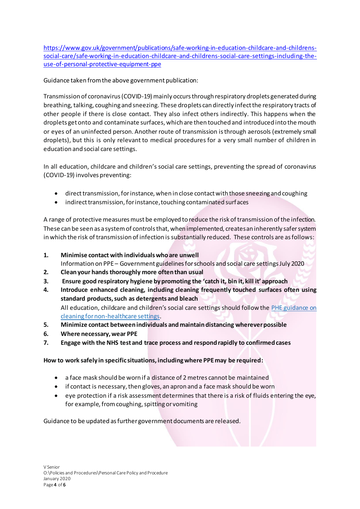[https://www.gov.uk/government/publications/safe-working-in-education-childcare-and-childrens](https://www.gov.uk/government/publications/safe-working-in-education-childcare-and-childrens-social-care/safe-working-in-education-childcare-and-childrens-social-care-settings-including-the-use-of-personal-protective-equipment-ppe)[social-care/safe-working-in-education-childcare-and-childrens-social-care-settings-including-the](https://www.gov.uk/government/publications/safe-working-in-education-childcare-and-childrens-social-care/safe-working-in-education-childcare-and-childrens-social-care-settings-including-the-use-of-personal-protective-equipment-ppe)[use-of-personal-protective-equipment-ppe](https://www.gov.uk/government/publications/safe-working-in-education-childcare-and-childrens-social-care/safe-working-in-education-childcare-and-childrens-social-care-settings-including-the-use-of-personal-protective-equipment-ppe)

Guidance taken from the above government publication:

Transmission of coronavirus (COVID-19) mainly occurs through respiratory droplets generated during breathing, talking, coughing and sneezing. These droplets can directly infect the respiratory tracts of other people if there is close contact. They also infect others indirectly. This happens when the droplets get onto and contaminate surfaces, which are then touched and introduced into the mouth or eyes of an uninfected person. Another route of transmission is through aerosols (extremely small droplets), but this is only relevant to medical procedures for a very small number of children in education and social care settings.

In all education, childcare and children's social care settings, preventing the spread of coronavirus (COVID-19) involves preventing:

- direct transmission, for instance, when in close contact with those sneezing and coughing
- indirect transmission, for instance, touching contaminated surfaces

A range of protective measures must be employed to reduce the risk of transmission of the infection. These can be seen as a system of controls that, when implemented, creates an inherently safer system in which the risk of transmission of infection is substantially reduced. These controls are as follows:

- **1. Minimise contact with individuals who are unwell**
- Information on PPE Government guidelines for schools and social care settings July 2020
- **2. Clean your hands thoroughly more often than usual**
- **3. Ensure good respiratory hygiene by promoting the 'catch it, bin it, kill it' approach**
- **4. Introduce enhanced cleaning, including cleaning frequently touched surfaces often using standard products, such as detergents and bleach** All education, childcare and children's social care settings should follow the PHE guidance on [cleaning for non-healthcare settings](https://www.gov.uk/government/publications/covid-19-decontamination-in-non-healthcare-settings).
- **5. Minimize contact between individuals and maintain distancing wherever possible**
- **6. Where necessary, wear PPE**
- **7. Engage with the NHS test and trace process and respond rapidly to confirmed cases**

# **How to work safely in specific situations, including where PPE may be required:**

- a face mask should be worn if a distance of 2 metres cannot be maintained
- if contact is necessary, then gloves, an apron and a face mask should be worn
- eye protection if a risk assessment determines that there is a risk of fluids entering the eye, for example, from coughing, spitting or vomiting

Guidance to be updated as further government documents are released.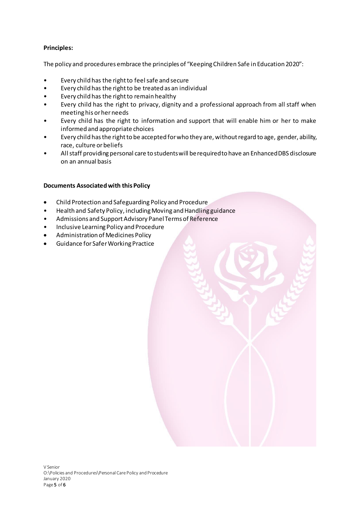# **Principles:**

The policy and procedures embrace the principles of "Keeping Children Safe in Education 2020":

- Every child has the right to feel safe and secure
- Every child has the right to be treated as an individual
- Every child has the right to remain healthy
- Every child has the right to privacy, dignity and a professional approach from all staff when meeting his or her needs
- Every child has the right to information and support that will enable him or her to make informed and appropriate choices
- Every child has the right to be accepted for who they are, without regard to age, gender, ability, race, culture or beliefs
- All staff providing personal care to students will be required to have an Enhanced DBS disclosure on an annual basis

## **Documents Associated with this Policy**

- Child Protection and Safeguarding Policy and Procedure
- Health and Safety Policy, including Moving and Handling guidance
- Admissions and Support Advisory Panel Terms of Reference
- Inclusive Learning Policy and Procedure
- Administration of Medicines Policy
- Guidance for Safer Working Practice